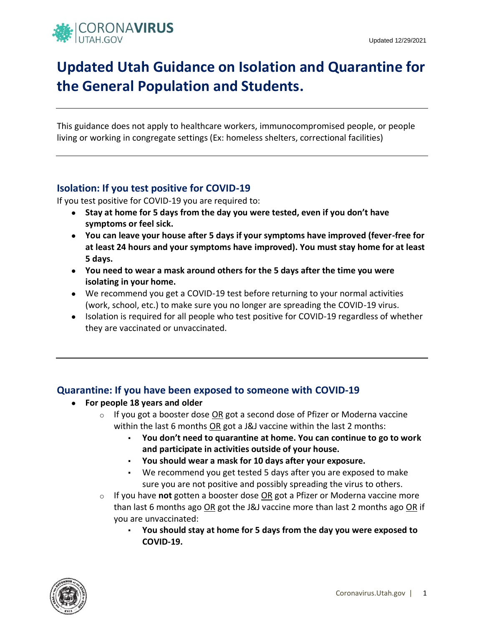

## **Updated Utah Guidance on Isolation and Quarantine for the General Population and Students.**

This guidance does not apply to healthcare workers, immunocompromised people, or people living or working in congregate settings (Ex: homeless shelters, correctional facilities)

## **Isolation: If you test positive for COVID-19**

If you test positive for COVID-19 you are required to:

- **Stay at home for 5 days from the day you were tested, even if you don't have symptoms or feel sick.**
- **You can leave your house after 5 days if your symptoms have improved (fever-free for at least 24 hours and your symptoms have improved). You must stay home for at least 5 days.**
- **You need to wear a mask around others for the 5 days after the time you were isolating in your home.**
- We recommend you get a COVID-19 test before returning to your normal activities (work, school, etc.) to make sure you no longer are spreading the COVID-19 virus.
- Isolation is required for all people who test positive for COVID-19 regardless of whether they are vaccinated or unvaccinated.

## **Quarantine: If you have been exposed to someone with COVID-19**

- **For people 18 years and older**
	- $\circ$  If you got a booster dose OR got a second dose of Pfizer or Moderna vaccine within the last 6 months OR got a J&J vaccine within the last 2 months:
		- **You don't need to quarantine at home. You can continue to go to work and participate in activities outside of your house.**
		- **You should wear a mask for 10 days after your exposure.**
		- We recommend you get tested 5 days after you are exposed to make sure you are not positive and possibly spreading the virus to others.
	- o If you have **not** gotten a booster dose OR got a Pfizer or Moderna vaccine more than last 6 months ago  $OR$  got the J&J vaccine more than last 2 months ago  $OR$  if you are unvaccinated:
		- **You should stay at home for 5 days from the day you were exposed to COVID-19.**